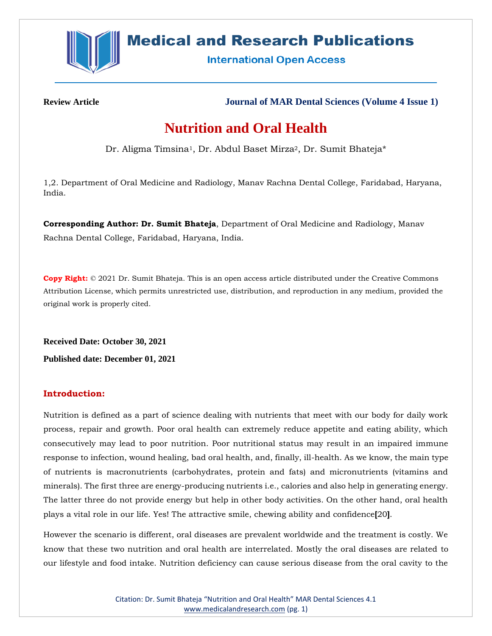

# **Medical and Research Publications**

**International Open Access** 

**Review Article Journal of MAR Dental Sciences (Volume 4 Issue 1)**

# **Nutrition and Oral Health**

Dr. Aligma Timsina<sup>1</sup>, Dr. Abdul Baset Mirza<sup>2</sup>, Dr. Sumit Bhateja\*

1,2. Department of Oral Medicine and Radiology, Manav Rachna Dental College, Faridabad, Haryana, India.

**Corresponding Author: Dr. Sumit Bhateja**, Department of Oral Medicine and Radiology, Manav Rachna Dental College, Faridabad, Haryana, India.

**Copy Right:** © 2021 Dr. Sumit Bhateja. This is an open access article distributed under the Creative Commons Attribution License, which permits unrestricted use, distribution, and reproduction in any medium, provided the original work is properly cited.

**Received Date: October 30, 2021**

**Published date: December 01, 2021**

## **Introduction:**

Nutrition is defined as a part of science dealing with nutrients that meet with our body for daily work process, repair and growth. Poor oral health can extremely reduce appetite and eating ability, which consecutively may lead to poor nutrition. Poor nutritional status may result in an impaired immune response to infection, wound healing, bad oral health, and, finally, ill-health. As we know, the main type of nutrients is macronutrients (carbohydrates, protein and fats) and micronutrients (vitamins and minerals). The first three are energy-producing nutrients i.e., calories and also help in generating energy. The latter three do not provide energy but help in other body activities. On the other hand, oral health plays a vital role in our life. Yes! The attractive smile, chewing ability and confidence**[**20**]**.

However the scenario is different, oral diseases are prevalent worldwide and the treatment is costly. We know that these two nutrition and oral health are interrelated. Mostly the oral diseases are related to our lifestyle and food intake. Nutrition deficiency can cause serious disease from the oral cavity to the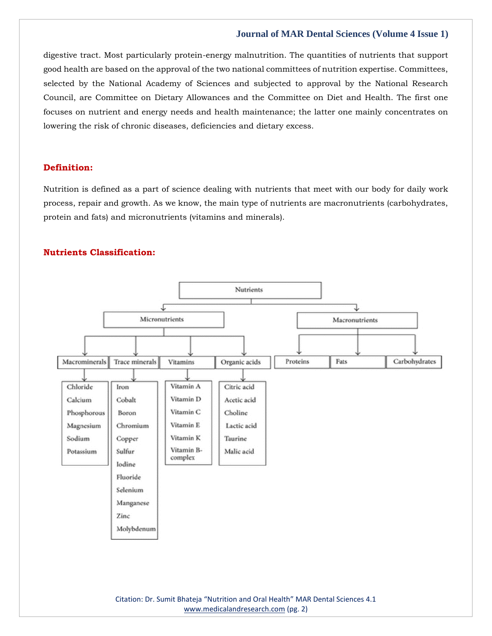digestive tract. Most particularly protein-energy malnutrition. The quantities of nutrients that support good health are based on the approval of the two national committees of nutrition expertise. Committees, selected by the National Academy of Sciences and subjected to approval by the National Research Council, are Committee on Dietary Allowances and the Committee on Diet and Health. The first one focuses on nutrient and energy needs and health maintenance; the latter one mainly concentrates on lowering the risk of chronic diseases, deficiencies and dietary excess.

## **Definition:**

Nutrition is defined as a part of science dealing with nutrients that meet with our body for daily work process, repair and growth. As we know, the main type of nutrients are macronutrients (carbohydrates, protein and fats) and micronutrients (vitamins and minerals).

## **Nutrients Classification:**



Citation: Dr. Sumit Bhateja "Nutrition and Oral Health" MAR Dental Sciences 4.1 [www.medicalandresearch.com](http://www.medicalandresearch.com/) (pg. 2)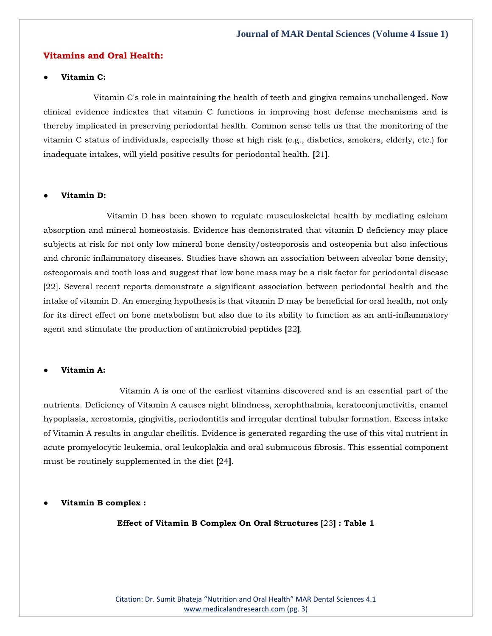#### **Vitamins and Oral Health:**

#### ● **Vitamin C:**

Vitamin C's role in maintaining the health of teeth and gingiva remains unchallenged. Now clinical evidence indicates that vitamin C functions in improving host defense mechanisms and is thereby implicated in preserving periodontal health. Common sense tells us that the monitoring of the vitamin C status of individuals, especially those at high risk (e.g., diabetics, smokers, elderly, etc.) for inadequate intakes, will yield positive results for periodontal health. **[**21**]**.

#### **Vitamin D:**

Vitamin D has been shown to regulate musculoskeletal health by mediating calcium absorption and mineral homeostasis. Evidence has demonstrated that vitamin D deficiency may place subjects at risk for not only low mineral bone density/osteoporosis and osteopenia but also infectious and chronic inflammatory diseases. Studies have shown an association between alveolar bone density, osteoporosis and tooth loss and suggest that low bone mass may be a risk factor for periodontal disease [22]. Several recent reports demonstrate a significant association between periodontal health and the intake of vitamin D. An emerging hypothesis is that vitamin D may be beneficial for oral health, not only for its direct effect on bone metabolism but also due to its ability to function as an anti-inflammatory agent and stimulate the production of antimicrobial peptides **[**22**]**.

### ● **Vitamin A:**

Vitamin A is one of the earliest vitamins discovered and is an essential part of the nutrients. Deficiency of Vitamin A causes night blindness, xerophthalmia, keratoconjunctivitis, enamel hypoplasia, xerostomia, gingivitis, periodontitis and irregular dentinal tubular formation. Excess intake of Vitamin A results in angular cheilitis. Evidence is generated regarding the use of this vital nutrient in acute promyelocytic leukemia, oral leukoplakia and oral submucous fibrosis. This essential component must be routinely supplemented in the diet **[**24**]**.

● **Vitamin B complex :**

**Effect of Vitamin B Complex On Oral Structures [**23**] : Table 1**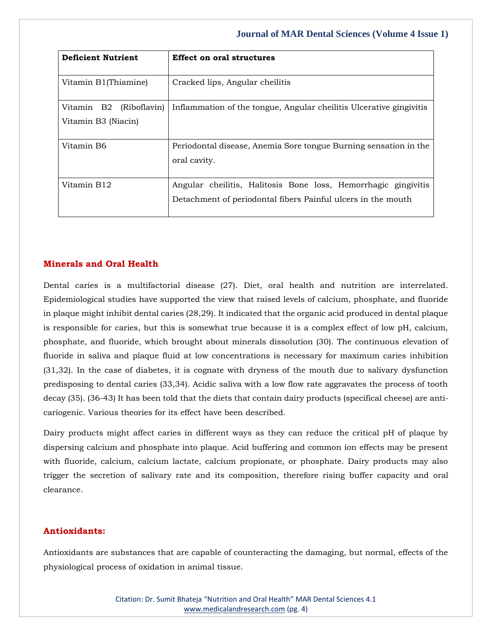| <b>Deficient Nutrient</b>                         | <b>Effect on oral structures</b>                                                                                               |
|---------------------------------------------------|--------------------------------------------------------------------------------------------------------------------------------|
| Vitamin B1(Thiamine)                              | Cracked lips, Angular cheilitis                                                                                                |
| Vitamin B2<br>(Riboflavin)<br>Vitamin B3 (Niacin) | Inflammation of the tongue, Angular cheilitis Ulcerative gingivitis                                                            |
| Vitamin B6                                        | Periodontal disease, Anemia Sore tongue Burning sensation in the<br>oral cavity.                                               |
| Vitamin B12                                       | Angular cheilitis, Halitosis Bone loss, Hemorrhagic gingivitis<br>Detachment of periodontal fibers Painful ulcers in the mouth |

## **Minerals and Oral Health**

Dental caries is a multifactorial disease (27). Diet, oral health and nutrition are interrelated. Epidemiological studies have supported the view that raised levels of calcium, phosphate, and fluoride in plaque might inhibit dental caries (28,29). It indicated that the organic acid produced in dental plaque is responsible for caries, but this is somewhat true because it is a complex effect of low pH, calcium, phosphate, and fluoride, which brought about minerals dissolution (30). The continuous elevation of fluoride in saliva and plaque fluid at low concentrations is necessary for maximum caries inhibition (31,32). In the case of diabetes, it is cognate with dryness of the mouth due to salivary dysfunction predisposing to dental caries (33,34). Acidic saliva with a low flow rate aggravates the process of tooth decay (35). (36-43) It has been told that the diets that contain dairy products (specifical cheese) are anticariogenic. Various theories for its effect have been described.

Dairy products might affect caries in different ways as they can reduce the critical pH of plaque by dispersing calcium and phosphate into plaque. Acid buffering and common ion effects may be present with fluoride, calcium, calcium lactate, calcium propionate, or phosphate. Dairy products may also trigger the secretion of salivary rate and its composition, therefore rising buffer capacity and oral clearance.

## **Antioxidants:**

Antioxidants are substances that are capable of counteracting the damaging, but normal, effects of the physiological process of oxidation in animal tissue.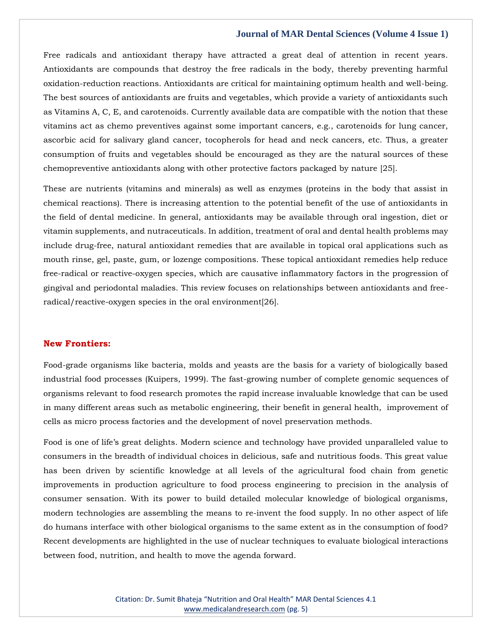Free radicals and antioxidant therapy have attracted a great deal of attention in recent years. Antioxidants are compounds that destroy the free radicals in the body, thereby preventing harmful oxidation-reduction reactions. Antioxidants are critical for maintaining optimum health and well-being. The best sources of antioxidants are fruits and vegetables, which provide a variety of antioxidants such as Vitamins A, C, E, and carotenoids. Currently available data are compatible with the notion that these vitamins act as chemo preventives against some important cancers, e.g., carotenoids for lung cancer, ascorbic acid for salivary gland cancer, tocopherols for head and neck cancers, etc. Thus, a greater consumption of fruits and vegetables should be encouraged as they are the natural sources of these chemopreventive antioxidants along with other protective factors packaged by nature [25].

These are nutrients (vitamins and minerals) as well as enzymes (proteins in the body that assist in chemical reactions). There is increasing attention to the potential benefit of the use of antioxidants in the field of dental medicine. In general, antioxidants may be available through oral ingestion, diet or vitamin supplements, and nutraceuticals. In addition, treatment of oral and dental health problems may include drug-free, natural antioxidant remedies that are available in topical oral applications such as mouth rinse, gel, paste, gum, or lozenge compositions. These topical antioxidant remedies help reduce free-radical or reactive-oxygen species, which are causative inflammatory factors in the progression of gingival and periodontal maladies. This review focuses on relationships between antioxidants and freeradical/reactive-oxygen species in the oral environment[26].

## **New Frontiers:**

Food-grade organisms like bacteria, molds and yeasts are the basis for a variety of biologically based industrial food processes (Kuipers, 1999). The fast-growing number of complete genomic sequences of organisms relevant to food research promotes the rapid increase invaluable knowledge that can be used in many different areas such as metabolic engineering, their benefit in general health, improvement of cells as micro process factories and the development of novel preservation methods.

Food is one of life's great delights. Modern science and technology have provided unparalleled value to consumers in the breadth of individual choices in delicious, safe and nutritious foods. This great value has been driven by scientific knowledge at all levels of the agricultural food chain from genetic improvements in production agriculture to food process engineering to precision in the analysis of consumer sensation. With its power to build detailed molecular knowledge of biological organisms, modern technologies are assembling the means to re-invent the food supply. In no other aspect of life do humans interface with other biological organisms to the same extent as in the consumption of food? Recent developments are highlighted in the use of nuclear techniques to evaluate biological interactions between food, nutrition, and health to move the agenda forward.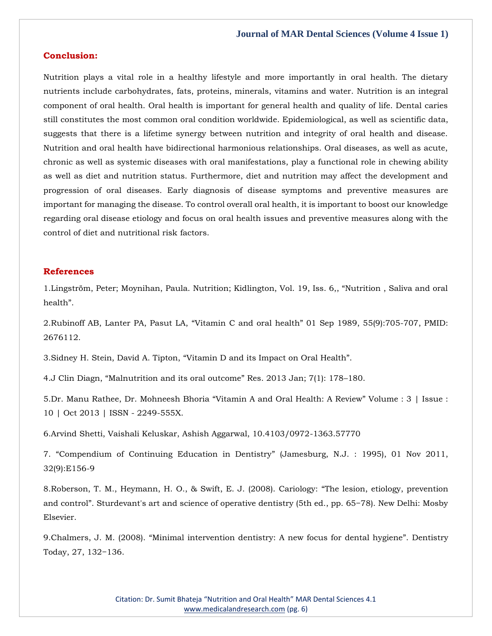## **Conclusion:**

Nutrition plays a vital role in a healthy lifestyle and more importantly in oral health. The dietary nutrients include carbohydrates, fats, proteins, minerals, vitamins and water. Nutrition is an integral component of oral health. Oral health is important for general health and quality of life. Dental caries still constitutes the most common oral condition worldwide. Epidemiological, as well as scientific data, suggests that there is a lifetime synergy between nutrition and integrity of oral health and disease. Nutrition and oral health have bidirectional harmonious relationships. Oral diseases, as well as acute, chronic as well as systemic diseases with oral manifestations, play a functional role in chewing ability as well as diet and nutrition status. Furthermore, diet and nutrition may affect the development and progression of oral diseases. Early diagnosis of disease symptoms and preventive measures are important for managing the disease. To control overall oral health, it is important to boost our knowledge regarding oral disease etiology and focus on oral health issues and preventive measures along with the control of diet and nutritional risk factors.

#### **References**

1.[Lingström, Peter; Moynihan, Paula. Nutrition; Kidlington, Vol. 19, Iss. 6,, "Nutrition , Saliva and oral](https://www.google.com/search?q=Nutrition+%2C+Saliva+and+oral+health&sxsrf=AOaemvK1FF3E0oOyhL_2FwBxu2ulg1qIdw%3A1635951933133&ei=PaWCYb-2B-eY4-EP5-mn4AY&oq=Nutrition+%2C+Saliva+and+oral+health&gs_lcp=Cgdnd3Mtd2l6EAMyBggAEBYQHjoHCCMQ6gIQJ0oECEEYAFDOgKMCWM6AowJgt4OjAmgBcAB4AIAB0QGIAdEBkgEDMi0xmAEAoAEBoAECsAEKwAEB&sclient=gws-wiz&ved=0ahUKEwj_yN_uu_zzAhVnzDgGHef0CWwQ4dUDCA4&uact=5)  [health".](https://www.google.com/search?q=Nutrition+%2C+Saliva+and+oral+health&sxsrf=AOaemvK1FF3E0oOyhL_2FwBxu2ulg1qIdw%3A1635951933133&ei=PaWCYb-2B-eY4-EP5-mn4AY&oq=Nutrition+%2C+Saliva+and+oral+health&gs_lcp=Cgdnd3Mtd2l6EAMyBggAEBYQHjoHCCMQ6gIQJ0oECEEYAFDOgKMCWM6AowJgt4OjAmgBcAB4AIAB0QGIAdEBkgEDMi0xmAEAoAEBoAECsAEKwAEB&sclient=gws-wiz&ved=0ahUKEwj_yN_uu_zzAhVnzDgGHef0CWwQ4dUDCA4&uact=5)

2.Rubinoff AB, Lanter PA, Pasut LA, "Vitamin C and oral health" [01 Sep 1989, 55\(9\):705-707, PMID:](https://www.google.com/search?q=Vitamin+C+and+oral+health&sxsrf=AOaemvI2b_9B6nzMTI4eWKlM5Oa01mwa1g%3A1635956701962&ei=3beCYa-MOpq94-EPs9Wj0Ag&oq=Vitamin+C+and+oral+health&gs_lcp=Cgdnd3Mtd2l6EAMyBwgjEOoCECcyBwgjEOoCECcyBwgjEOoCECcyBwgjEOoCECcyBwgjEOoCECcyBwgjEOoCECcyBwgjEOoCECcyBwgjEOoCECcyBwgjEOoCECcyBwgjEOoCECdKBAhBGABQ9akBWPWpAWCKrAFoAXACeACAAQCIAQCSAQCYAQCgAQGgAQKwAQrAAQE&sclient=gws-wiz&ved=0ahUKEwjv7tnQzfzzAhWa3jgGHbPqCIoQ4dUDCA4&uact=5)  [2676112.](https://www.google.com/search?q=Vitamin+C+and+oral+health&sxsrf=AOaemvI2b_9B6nzMTI4eWKlM5Oa01mwa1g%3A1635956701962&ei=3beCYa-MOpq94-EPs9Wj0Ag&oq=Vitamin+C+and+oral+health&gs_lcp=Cgdnd3Mtd2l6EAMyBwgjEOoCECcyBwgjEOoCECcyBwgjEOoCECcyBwgjEOoCECcyBwgjEOoCECcyBwgjEOoCECcyBwgjEOoCECcyBwgjEOoCECcyBwgjEOoCECcyBwgjEOoCECdKBAhBGABQ9akBWPWpAWCKrAFoAXACeACAAQCIAQCSAQCYAQCgAQGgAQKwAQrAAQE&sclient=gws-wiz&ved=0ahUKEwjv7tnQzfzzAhWa3jgGHbPqCIoQ4dUDCA4&uact=5)

3.Sidney H. Stein, David A. Tipton, "[Vitamin D and its Impact on Oral Health](https://www.google.com/search?q=Vitamin+D+and+its+Impact+on+Oral+Health&sxsrf=AOaemvIpBwBxFOj3luuZNK60fYFZA8f0lw%3A1635956726706&ei=9reCYaanKvuZ4-EPlrCdkAI&oq=Vitamin+D+and+its+Impact+on+Oral+Health&gs_lcp=Cgdnd3Mtd2l6EAMyBggAEBYQHjoHCCMQ6gIQJ0oECEEYAFCPpgJYj6YCYO2nAmgBcAJ4AIABwwGIAcMBkgEDMC4xmAEAoAEBoAECsAEKwAEB&sclient=gws-wiz&ved=0ahUKEwim-r_czfzzAhX7zDgGHRZYByIQ4dUDCA4&uact=5)".

4.J Clin Diagn, "[Malnutrition and its oral outcome](https://www.google.com/search?q=Malnutrition+and+its+oral+outcome&sxsrf=AOaemvJqyel_vQqO_olnZmJeKCQ2RHjnIQ%3A1635956766720&ei=HriCYfSgK-y94-EPjpaCgAU&oq=Malnutrition+and+its+oral+outcome&gs_lcp=Cgdnd3Mtd2l6EAMyBQgAEIAEOgcIIxDqAhAnSgQIQRgAUKaoAVimqAFg1qoBaAFwAngAgAG4AYgBuAGSAQMwLjGYAQCgAQGgAQKwAQrAAQE&sclient=gws-wiz&ved=0ahUKEwj0p8rvzfzzAhXs3jgGHQ6LAFAQ4dUDCA4&uact=5)" Res. 2013 Jan; 7(1): 178–180.

5[.Dr. Manu Rathee, Dr. Mohneesh Bhoria](https://www.google.com/search?q=Vitamin+A+and+Oral+Health%3A+A+Review&sxsrf=AOaemvI_P7jKpPBrjqAyHoPIzAY4MUxVRA%3A1635956790164&ei=NriCYfSnCbiD4-EP3NiEuAg&oq=Vitamin+A+and+Oral+Health%3A+A+Review&gs_lcp=Cgdnd3Mtd2l6EAMyBggAEBYQHjoHCCMQ6gIQJ0oECEEYAFDDwQFYw8EBYLzLAWgBcAJ4AIABvAGIAbwBkgEDMC4xmAEAoAEBoAECsAEKwAEB&sclient=gws-wiz&ved=0ahUKEwj0muH6zfzzAhW4wTgGHVwsAYcQ4dUDCA4&uact=5) "Vitamin A and Oral Health: A Review" Volume : 3 | Issue : [10 | Oct 2013 | ISSN -](https://www.google.com/search?q=Vitamin+A+and+Oral+Health%3A+A+Review&sxsrf=AOaemvI_P7jKpPBrjqAyHoPIzAY4MUxVRA%3A1635956790164&ei=NriCYfSnCbiD4-EP3NiEuAg&oq=Vitamin+A+and+Oral+Health%3A+A+Review&gs_lcp=Cgdnd3Mtd2l6EAMyBggAEBYQHjoHCCMQ6gIQJ0oECEEYAFDDwQFYw8EBYLzLAWgBcAJ4AIABvAGIAbwBkgEDMC4xmAEAoAEBoAECsAEKwAEB&sclient=gws-wiz&ved=0ahUKEwj0muH6zfzzAhW4wTgGHVwsAYcQ4dUDCA4&uact=5) 2249-555X.

6.Arvind Shetti, Vaishali Keluskar, Ashish Aggarwal, 10.4103/0972-1363.57770

7. "[Compendium of Continuing Education in Dentistry](https://www.google.com/search?q=Compendium+of+Continuing+Education+in+Dentistry&sxsrf=AOaemvLh-z4KXep68929UDWOUyd7-f5NHg%3A1635956817459&ei=UbiCYYenG7iU4-EPouiU6Ag&oq=Compendium+of+Continuing+Education+in+Dentistry&gs_lcp=Cgdnd3Mtd2l6EAMyBQgAEIAEMgUIABCABDIFCAAQgAQyBQgAEIAEMgUIABCABDIGCAAQFhAeOgcIIxDqAhAnSgQIQRgAUIfVAViH1QFg1NcBaAFwAngAgAG8AogBvAKSAQMzLTGYAQCgAQGgAQKwAQrAAQE&sclient=gws-wiz&ved=0ahUKEwjHk-OHzvzzAhU4yjgGHSI0BY0Q4dUDCA4&uact=5)" (Jamesburg, N.J. : 1995), 01 Nov 2011, [32\(9\):E156-9](https://www.google.com/search?q=Compendium+of+Continuing+Education+in+Dentistry&sxsrf=AOaemvLh-z4KXep68929UDWOUyd7-f5NHg%3A1635956817459&ei=UbiCYYenG7iU4-EPouiU6Ag&oq=Compendium+of+Continuing+Education+in+Dentistry&gs_lcp=Cgdnd3Mtd2l6EAMyBQgAEIAEMgUIABCABDIFCAAQgAQyBQgAEIAEMgUIABCABDIGCAAQFhAeOgcIIxDqAhAnSgQIQRgAUIfVAViH1QFg1NcBaAFwAngAgAG8AogBvAKSAQMzLTGYAQCgAQGgAQKwAQrAAQE&sclient=gws-wiz&ved=0ahUKEwjHk-OHzvzzAhU4yjgGHSI0BY0Q4dUDCA4&uact=5)

8[.Roberson, T. M., Heymann, H. O., & Swift, E. J. \(2008\). Cariology:](https://www.google.com/search?q=The+lesion%2C+etiology%2C+prevention+and+control&sxsrf=AOaemvIz5RkC_qHpVpW0RMjixuSv4dm29Q%3A1635956846942&ei=briCYfD0OLm84-EPloStkAg&oq=The+lesion%2C+etiology%2C+prevention+and+control&gs_lcp=Cgdnd3Mtd2l6EAMyBwgjEOoCECcyBwgjEOoCECcyBwgjEOoCECcyBwgjEOoCECcyBwgjEOoCECcyBwgjEOoCECcyBwgjEOoCECcyBwgjEOoCECcyBwgjEOoCECcyBwgjEOoCECdKBAhBGABQ-b4BWPm-AWDTwQFoAXACeACAAQCIAQCSAQCYAQCgAQGgAQKwAQrAAQE&sclient=gws-wiz&ved=0ahUKEwjw4-qVzvzzAhU53jgGHRZCC4IQ4dUDCA4&uact=5) "The lesion, etiology, prevention and control[". Sturdevant's art and science of operative dentistry \(5th ed., pp. 65−78\). New Delhi: Mosby](https://www.google.com/search?q=The+lesion%2C+etiology%2C+prevention+and+control&sxsrf=AOaemvIz5RkC_qHpVpW0RMjixuSv4dm29Q%3A1635956846942&ei=briCYfD0OLm84-EPloStkAg&oq=The+lesion%2C+etiology%2C+prevention+and+control&gs_lcp=Cgdnd3Mtd2l6EAMyBwgjEOoCECcyBwgjEOoCECcyBwgjEOoCECcyBwgjEOoCECcyBwgjEOoCECcyBwgjEOoCECcyBwgjEOoCECcyBwgjEOoCECcyBwgjEOoCECcyBwgjEOoCECdKBAhBGABQ-b4BWPm-AWDTwQFoAXACeACAAQCIAQCSAQCYAQCgAQGgAQKwAQrAAQE&sclient=gws-wiz&ved=0ahUKEwjw4-qVzvzzAhU53jgGHRZCC4IQ4dUDCA4&uact=5)  [Elsevier.](https://www.google.com/search?q=The+lesion%2C+etiology%2C+prevention+and+control&sxsrf=AOaemvIz5RkC_qHpVpW0RMjixuSv4dm29Q%3A1635956846942&ei=briCYfD0OLm84-EPloStkAg&oq=The+lesion%2C+etiology%2C+prevention+and+control&gs_lcp=Cgdnd3Mtd2l6EAMyBwgjEOoCECcyBwgjEOoCECcyBwgjEOoCECcyBwgjEOoCECcyBwgjEOoCECcyBwgjEOoCECcyBwgjEOoCECcyBwgjEOoCECcyBwgjEOoCECcyBwgjEOoCECdKBAhBGABQ-b4BWPm-AWDTwQFoAXACeACAAQCIAQCSAQCYAQCgAQGgAQKwAQrAAQE&sclient=gws-wiz&ved=0ahUKEwjw4-qVzvzzAhU53jgGHRZCC4IQ4dUDCA4&uact=5)

9.Chalmers, J. M. (2008). "[Minimal intervention dentistry: A new focus for dental hygiene](https://www.google.com/search?q=Minimal+intervention+dentistry%3A+A+new+focus+for+dental+hygiene&sxsrf=AOaemvI5D0JI207oEoXt_GcwnIRiU85dIA%3A1635956873805&ei=ibiCYaK2MMie4-EPhd6V0Ao&oq=Minimal+intervention+dentistry%3A+A+new+focus+for+dental+hygiene&gs_lcp=Cgdnd3Mtd2l6EAM6BwgjEOoCECdKBAhBGABQg7kBWIO5AWDZuwFoAXACeACAAdYBiAHWAZIBAzItMZgBAKABAaABArABCsABAQ&sclient=gws-wiz&ved=0ahUKEwjintKizvzzAhVIzzgGHQVvBaoQ4dUDCA4&uact=5)". Dentistry [Today, 27, 132−1](https://www.google.com/search?q=Minimal+intervention+dentistry%3A+A+new+focus+for+dental+hygiene&sxsrf=AOaemvI5D0JI207oEoXt_GcwnIRiU85dIA%3A1635956873805&ei=ibiCYaK2MMie4-EPhd6V0Ao&oq=Minimal+intervention+dentistry%3A+A+new+focus+for+dental+hygiene&gs_lcp=Cgdnd3Mtd2l6EAM6BwgjEOoCECdKBAhBGABQg7kBWIO5AWDZuwFoAXACeACAAdYBiAHWAZIBAzItMZgBAKABAaABArABCsABAQ&sclient=gws-wiz&ved=0ahUKEwjintKizvzzAhVIzzgGHQVvBaoQ4dUDCA4&uact=5)36.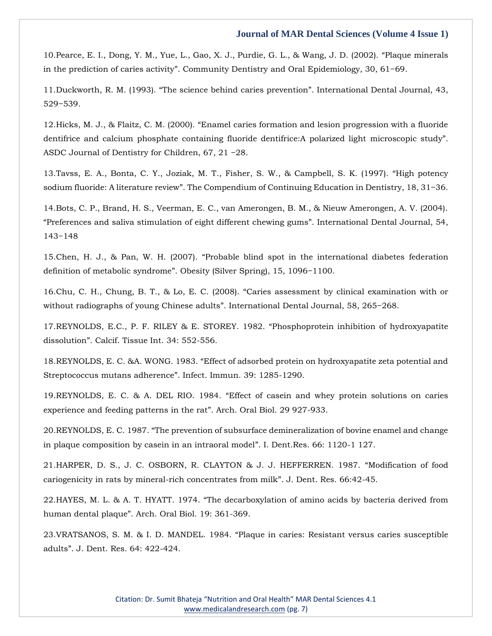10[.Pearce, E. I., Dong, Y. M., Yue, L., Gao, X. J., Purdie, G. L., & Wang, J. D. \(2002\).](https://www.google.com/search?q=Plaque+minerals+in+the+prediction+of+caries+activity&sxsrf=AOaemvLE2eXwmt4rbBn3gQvZh1HWCUDcWQ%3A1635956899359&ei=o7iCYamVFaXDpgf6x7LwCw&oq=Plaque+minerals+in+the+prediction+of+caries+activity&gs_lcp=Cgdnd3Mtd2l6EAM6BwgjEOoCECdKBAhBGABQo6EBWKOhAWDrowFoAXACeACAAeUBiAHlAZIBAzItMZgBAKABAaABArABCsABAQ&sclient=gws-wiz&ved=0ahUKEwjp8umuzvzzAhWloekKHfqjDL4Q4dUDCA4&uact=5) "Plaque minerals in the prediction of caries activity[". Community Dentistry and Oral Epidemiology, 30, 61−69.](https://www.google.com/search?q=Plaque+minerals+in+the+prediction+of+caries+activity&sxsrf=AOaemvLE2eXwmt4rbBn3gQvZh1HWCUDcWQ%3A1635956899359&ei=o7iCYamVFaXDpgf6x7LwCw&oq=Plaque+minerals+in+the+prediction+of+caries+activity&gs_lcp=Cgdnd3Mtd2l6EAM6BwgjEOoCECdKBAhBGABQo6EBWKOhAWDrowFoAXACeACAAeUBiAHlAZIBAzItMZgBAKABAaABArABCsABAQ&sclient=gws-wiz&ved=0ahUKEwjp8umuzvzzAhWloekKHfqjDL4Q4dUDCA4&uact=5)

11.Duckworth, R. M. (1993). "[The science behind caries prevention](https://www.google.com/search?q=The+science+behind+caries+prevention&sxsrf=AOaemvKk07hEQxtC1VOhqDkOat9XHAC6Ew%3A1635956921729&ei=ubiCYdT4K8aI4-EP5ay48AE&oq=The+science+behind+caries+prevention&gs_lcp=Cgdnd3Mtd2l6EAMyBQghEKABOgcIIxDqAhAnSgQIQRgAUKqZAViqmQFgy5sBaAFwAHgAgAGTAogBkwKSAQMyLTGYAQCgAQGgAQKwAQrAAQE&sclient=gws-wiz&ved=0ahUKEwiUub-5zvzzAhVGxDgGHWUWDh4Q4dUDCA4&uact=5)". International Dental Journal, 43, [529−539.](https://www.google.com/search?q=The+science+behind+caries+prevention&sxsrf=AOaemvKk07hEQxtC1VOhqDkOat9XHAC6Ew%3A1635956921729&ei=ubiCYdT4K8aI4-EP5ay48AE&oq=The+science+behind+caries+prevention&gs_lcp=Cgdnd3Mtd2l6EAMyBQghEKABOgcIIxDqAhAnSgQIQRgAUKqZAViqmQFgy5sBaAFwAHgAgAGTAogBkwKSAQMyLTGYAQCgAQGgAQKwAQrAAQE&sclient=gws-wiz&ved=0ahUKEwiUub-5zvzzAhVGxDgGHWUWDh4Q4dUDCA4&uact=5)

12.Hicks, M. J., & Flaitz, C. M. (2000). "[Enamel caries formation and lesion progression with a fluoride](https://www.google.com/search?q=Enamel+caries+formation+and+lesion+progression+with+a+fluoride+dentifrice+and+calcium+phosphate+containing+fluoride+dentifrice%3AA+polarized+light+microscopic+study&sxsrf=AOaemvJXGmyWfTVCqwI1NCuZMw9wSQyzDg%3A1635956942881&ei=zriCYdWJNYSF4-EP_JyO-AI&oq=Enamel+caries+formation+and+lesion+progression+with+a+fluoride+dentifrice+and+calcium+phosphate+containing+fluoride+dentifrice%3AA+polarized+light+microscopic+study&gs_lcp=Cgdnd3Mtd2l6EAMyBwgjEOoCECcyBwgjEOoCECcyBwgjEOoCECcyBwgjEOoCECcyBwgjEOoCECcyBwgjEOoCECcyBwgjEOoCECcyBwgjEOoCECcyBwgjEOoCECcyBwgjEOoCECdKBAhBGABQrJUBWKyVAWDPnQFoAXACeACAAQCIAQCSAQCYAQCgAQGgAQKwAQrAAQE&sclient=gws-wiz&ved=0ahUKEwjVqMrDzvzzAhWEwjgGHXyOAy8Q4dUDCA4&uact=5)  [dentifrice and calcium phosphate containing fluoride dentifrice:A polarized light microscopic study](https://www.google.com/search?q=Enamel+caries+formation+and+lesion+progression+with+a+fluoride+dentifrice+and+calcium+phosphate+containing+fluoride+dentifrice%3AA+polarized+light+microscopic+study&sxsrf=AOaemvJXGmyWfTVCqwI1NCuZMw9wSQyzDg%3A1635956942881&ei=zriCYdWJNYSF4-EP_JyO-AI&oq=Enamel+caries+formation+and+lesion+progression+with+a+fluoride+dentifrice+and+calcium+phosphate+containing+fluoride+dentifrice%3AA+polarized+light+microscopic+study&gs_lcp=Cgdnd3Mtd2l6EAMyBwgjEOoCECcyBwgjEOoCECcyBwgjEOoCECcyBwgjEOoCECcyBwgjEOoCECcyBwgjEOoCECcyBwgjEOoCECcyBwgjEOoCECcyBwgjEOoCECcyBwgjEOoCECdKBAhBGABQrJUBWKyVAWDPnQFoAXACeACAAQCIAQCSAQCYAQCgAQGgAQKwAQrAAQE&sclient=gws-wiz&ved=0ahUKEwjVqMrDzvzzAhWEwjgGHXyOAy8Q4dUDCA4&uact=5)". [ASDC Journal of Dentistry for Children, 67, 21 −28.](https://www.google.com/search?q=Enamel+caries+formation+and+lesion+progression+with+a+fluoride+dentifrice+and+calcium+phosphate+containing+fluoride+dentifrice%3AA+polarized+light+microscopic+study&sxsrf=AOaemvJXGmyWfTVCqwI1NCuZMw9wSQyzDg%3A1635956942881&ei=zriCYdWJNYSF4-EP_JyO-AI&oq=Enamel+caries+formation+and+lesion+progression+with+a+fluoride+dentifrice+and+calcium+phosphate+containing+fluoride+dentifrice%3AA+polarized+light+microscopic+study&gs_lcp=Cgdnd3Mtd2l6EAMyBwgjEOoCECcyBwgjEOoCECcyBwgjEOoCECcyBwgjEOoCECcyBwgjEOoCECcyBwgjEOoCECcyBwgjEOoCECcyBwgjEOoCECcyBwgjEOoCECcyBwgjEOoCECdKBAhBGABQrJUBWKyVAWDPnQFoAXACeACAAQCIAQCSAQCYAQCgAQGgAQKwAQrAAQE&sclient=gws-wiz&ved=0ahUKEwjVqMrDzvzzAhWEwjgGHXyOAy8Q4dUDCA4&uact=5)

13[.Tavss, E. A., Bonta, C. Y., Joziak, M. T., Fisher, S. W., & Campbell, S. K. \(1997\).](https://www.google.com/search?q=High+potency+sodium+fluoride%3A+A+literature+review&sxsrf=AOaemvLZz0_4oVZtOzjhywU5yuehkhbd9w%3A1635956964428&ei=5LiCYcvbGeiX4-EPqYe4-AI&oq=High+potency+sodium+fluoride%3A+A+literature+review&gs_lcp=Cgdnd3Mtd2l6EAM6BwgjEOoCECdKBAhBGABQsKgBWLCoAWDCqwFoAXAAeACAAfkBiAH5AZIBAzItMZgBAKABAaABArABCsABAQ&sclient=gws-wiz&ved=0ahUKEwjL3e3NzvzzAhXoyzgGHakDDi8Q4dUDCA4&uact=5) "High potency sodium fluoride: A literature review[". The Compendium of Continuing Education in Dentistry, 18, 31−36.](https://www.google.com/search?q=High+potency+sodium+fluoride%3A+A+literature+review&sxsrf=AOaemvLZz0_4oVZtOzjhywU5yuehkhbd9w%3A1635956964428&ei=5LiCYcvbGeiX4-EPqYe4-AI&oq=High+potency+sodium+fluoride%3A+A+literature+review&gs_lcp=Cgdnd3Mtd2l6EAM6BwgjEOoCECdKBAhBGABQsKgBWLCoAWDCqwFoAXAAeACAAfkBiAH5AZIBAzItMZgBAKABAaABArABCsABAQ&sclient=gws-wiz&ved=0ahUKEwjL3e3NzvzzAhXoyzgGHakDDi8Q4dUDCA4&uact=5)

14[.Bots, C. P., Brand, H. S., Veerman, E. C., van Amerongen, B. M., & Nieuw Amerongen, A. V. \(2004\).](https://www.google.com/search?q=Preferences+and+saliva+stimulation+of+eight+different+chewing+gums&sxsrf=AOaemvIWKcCuDIKaO3QQjaz3R8timJEdnQ%3A1635956988124&ei=_LiCYY3_Bo_H4-EP8uWnuAw&oq=Preferences+and+saliva+stimulation+of+eight+different+chewing+gums&gs_lcp=Cgdnd3Mtd2l6EAM6BwgjEOoCECdKBAhBGABQ-9EBWPvRAWCU2AFoAXACeACAAZcEiAGXBJIBAzUtMZgBAKABAaABArABCsABAQ&sclient=gws-wiz&ved=0ahUKEwiN7ZPZzvzzAhWP4zgGHfLyCccQ4dUDCA4&uact=5)  "[Preferences and saliva stimulation of eight different chewing gums](https://www.google.com/search?q=Preferences+and+saliva+stimulation+of+eight+different+chewing+gums&sxsrf=AOaemvIWKcCuDIKaO3QQjaz3R8timJEdnQ%3A1635956988124&ei=_LiCYY3_Bo_H4-EP8uWnuAw&oq=Preferences+and+saliva+stimulation+of+eight+different+chewing+gums&gs_lcp=Cgdnd3Mtd2l6EAM6BwgjEOoCECdKBAhBGABQ-9EBWPvRAWCU2AFoAXACeACAAZcEiAGXBJIBAzUtMZgBAKABAaABArABCsABAQ&sclient=gws-wiz&ved=0ahUKEwiN7ZPZzvzzAhWP4zgGHfLyCccQ4dUDCA4&uact=5)". International Dental Journal, 54, [143−148](https://www.google.com/search?q=Preferences+and+saliva+stimulation+of+eight+different+chewing+gums&sxsrf=AOaemvIWKcCuDIKaO3QQjaz3R8timJEdnQ%3A1635956988124&ei=_LiCYY3_Bo_H4-EP8uWnuAw&oq=Preferences+and+saliva+stimulation+of+eight+different+chewing+gums&gs_lcp=Cgdnd3Mtd2l6EAM6BwgjEOoCECdKBAhBGABQ-9EBWPvRAWCU2AFoAXACeACAAZcEiAGXBJIBAzUtMZgBAKABAaABArABCsABAQ&sclient=gws-wiz&ved=0ahUKEwiN7ZPZzvzzAhWP4zgGHfLyCccQ4dUDCA4&uact=5)

15.Chen, H. J., & Pan, W. H. (2007). "[Probable blind spot in the international diabetes federation](https://www.google.com/search?q=Probable+blind+spot+in+the+international+diabetes+federation+definition+of+metabolic+syndrome&sxsrf=AOaemvKTBKaX0ahcOAkWqndMuIycfiEzTA%3A1635957017780&ei=GbmCYemFL4qf4-EPxJGKqAM&oq=Probable+blind+spot+in+the+international+diabetes+federation+definition+of+metabolic+syndrome&gs_lcp=Cgdnd3Mtd2l6EAMyBwgjEOoCECcyBwgjEOoCECcyBwgjEOoCECcyBwgjEOoCECcyBwgjEOoCECcyBwgjEOoCECcyBwgjEOoCECcyBwgjEOoCECcyBwgjEOoCECcyBwgjEOoCECdKBAhBGABQuc4FWLnOBWCy0QVoAXACeACAAQCIAQCSAQCYAQCgAQGgAQKwAQrAAQE&sclient=gws-wiz&ved=0ahUKEwip9qXnzvzzAhWKzzgGHcSIAjUQ4dUDCA4&uact=5)  definition of metabolic syndrome[". Obesity \(Silver Spring\), 15, 1096−1100.](https://www.google.com/search?q=Probable+blind+spot+in+the+international+diabetes+federation+definition+of+metabolic+syndrome&sxsrf=AOaemvKTBKaX0ahcOAkWqndMuIycfiEzTA%3A1635957017780&ei=GbmCYemFL4qf4-EPxJGKqAM&oq=Probable+blind+spot+in+the+international+diabetes+federation+definition+of+metabolic+syndrome&gs_lcp=Cgdnd3Mtd2l6EAMyBwgjEOoCECcyBwgjEOoCECcyBwgjEOoCECcyBwgjEOoCECcyBwgjEOoCECcyBwgjEOoCECcyBwgjEOoCECcyBwgjEOoCECcyBwgjEOoCECcyBwgjEOoCECdKBAhBGABQuc4FWLnOBWCy0QVoAXACeACAAQCIAQCSAQCYAQCgAQGgAQKwAQrAAQE&sclient=gws-wiz&ved=0ahUKEwip9qXnzvzzAhWKzzgGHcSIAjUQ4dUDCA4&uact=5)

16.Chu, C. H., Chung, B. T., & Lo, E. C. (2008). "[Caries assessment by clinical examination with or](https://www.google.com/search?q=Caries+assessment+by+clinical+examination+with+or+without+radiographs+of+young+Chinese+adults&sxsrf=AOaemvKR1gvQJOoxBVPfcW6oKdlvDZGI4g%3A1635957113130&ei=ebmCYbOyB5aC4-EPrNSUsAo&oq=Caries+assessment+by+clinical+examination+with+or+without+radiographs+of+young+Chinese+adults&gs_lcp=Cgdnd3Mtd2l6EAM6BwgjEOoCECdKBAhBGABQjaYBWI2mAWDNqAFoAXAAeACAAc0BiAHNAZIBAzItMZgBAKABAaABArABCsABAQ&sclient=gws-wiz&ved=0ahUKEwjz0uGUz_zzAhUWwTgGHSwqBaYQ4dUDCA4&uact=5)  without radiographs of young Chinese adults[". International Dental Journal, 58, 265−268.](https://www.google.com/search?q=Caries+assessment+by+clinical+examination+with+or+without+radiographs+of+young+Chinese+adults&sxsrf=AOaemvKR1gvQJOoxBVPfcW6oKdlvDZGI4g%3A1635957113130&ei=ebmCYbOyB5aC4-EPrNSUsAo&oq=Caries+assessment+by+clinical+examination+with+or+without+radiographs+of+young+Chinese+adults&gs_lcp=Cgdnd3Mtd2l6EAM6BwgjEOoCECdKBAhBGABQjaYBWI2mAWDNqAFoAXAAeACAAc0BiAHNAZIBAzItMZgBAKABAaABArABCsABAQ&sclient=gws-wiz&ved=0ahUKEwjz0uGUz_zzAhUWwTgGHSwqBaYQ4dUDCA4&uact=5)

17[.REYNOLDS, E.C., P. F. RILEY & E. STOREY. 1982.](https://www.google.com/search?q=Phosphoprotein+inhibition+of+hydroxyapatite+dissolution&sxsrf=AOaemvI7bh-sOc30RIcI_aM7haWqtF4xDQ%3A1635957136429&ei=kLmCYazDGfbF4-EP8YKbsA0&oq=Phosphoprotein+inhibition+of+hydroxyapatite+dissolution&gs_lcp=Cgdnd3Mtd2l6EAMyBwgjEOoCECcyBwgjEOoCECcyBwgjEOoCECcyBwgjEOoCECcyBwgjEOoCECcyBwgjEOoCECcyBwgjEOoCECcyBwgjEOoCECcyBwgjEOoCECcyBwgjEOoCECdKBAhBGABQyagBWMmoAWDOqgFoAXAAeACAAQCIAQCSAQCYAQCgAQGgAQKwAQrAAQE&sclient=gws-wiz&ved=0ahUKEwisy--fz_zzAhX24jgGHXHBBtYQ4dUDCA4&uact=5) "Phosphoprotein inhibition of hydroxyapatite dissolution"[. Calcif. Tissue Int. 34: 552-556.](https://www.google.com/search?q=Phosphoprotein+inhibition+of+hydroxyapatite+dissolution&sxsrf=AOaemvI7bh-sOc30RIcI_aM7haWqtF4xDQ%3A1635957136429&ei=kLmCYazDGfbF4-EP8YKbsA0&oq=Phosphoprotein+inhibition+of+hydroxyapatite+dissolution&gs_lcp=Cgdnd3Mtd2l6EAMyBwgjEOoCECcyBwgjEOoCECcyBwgjEOoCECcyBwgjEOoCECcyBwgjEOoCECcyBwgjEOoCECcyBwgjEOoCECcyBwgjEOoCECcyBwgjEOoCECcyBwgjEOoCECdKBAhBGABQyagBWMmoAWDOqgFoAXAAeACAAQCIAQCSAQCYAQCgAQGgAQKwAQrAAQE&sclient=gws-wiz&ved=0ahUKEwisy--fz_zzAhX24jgGHXHBBtYQ4dUDCA4&uact=5)

18.REYNOLDS, E. C. &A. WONG. 1983. "[Effect of adsorbed protein on hydroxyapatite zeta potential and](https://www.google.com/search?q=Effect+of+adsorbed+protein+on+hydroxyapatite+zeta+potential+and+Streptococcus+mutans+adherence&sxsrf=AOaemvLaau2oDJPSasRXA9W0cqS9O_CR5w%3A1635957159409&ei=p7mCYf61GMmC4-EP3Iux0Ac&oq=Effect+of+adsorbed+protein+on+hydroxyapatite+zeta+potential+and+Streptococcus+mutans+adherence&gs_lcp=Cgdnd3Mtd2l6EAM6BwgjEOoCECdKBAhBGABQhqgBWIaoAWDsqgFoAXAAeACAAdoBiAHaAZIBAzItMZgBAKABAaABArABCsABAQ&sclient=gws-wiz&ved=0ahUKEwi-peqqz_zzAhVJwTgGHdxFDHoQ4dUDCA4&uact=5)  [Streptococcus mutans adherence](https://www.google.com/search?q=Effect+of+adsorbed+protein+on+hydroxyapatite+zeta+potential+and+Streptococcus+mutans+adherence&sxsrf=AOaemvLaau2oDJPSasRXA9W0cqS9O_CR5w%3A1635957159409&ei=p7mCYf61GMmC4-EP3Iux0Ac&oq=Effect+of+adsorbed+protein+on+hydroxyapatite+zeta+potential+and+Streptococcus+mutans+adherence&gs_lcp=Cgdnd3Mtd2l6EAM6BwgjEOoCECdKBAhBGABQhqgBWIaoAWDsqgFoAXAAeACAAdoBiAHaAZIBAzItMZgBAKABAaABArABCsABAQ&sclient=gws-wiz&ved=0ahUKEwi-peqqz_zzAhVJwTgGHdxFDHoQ4dUDCA4&uact=5)". Infect. Immun. 39: 1285-1290.

19.REYNOLDS, E. C. & A. DEL RIO. 1984. "[Effect of casein and whey protein solutions on caries](https://www.google.com/search?q=Effect+of+casein+and+whey+protein+solutions+on+caries+experience+and+feeding+patterns+in+the+rat&sxsrf=AOaemvIAM77lPLS-u-x1me5Um1u9rZ45gg%3A1635957182636&ei=vrmCYZqmJuWY4-EP6YC36AI&oq=Effect+of+casein+and+whey+protein+solutions+on+caries+experience+and+feeding+patterns+in+the+rat&gs_lcp=Cgdnd3Mtd2l6EAM6BwgjEOoCECdKBAhBGABQ26IBWNuiAWDfpAFoAXAAeACAAdABiAHQAZIBAzItMZgBAKABAaABArABCsABAQ&sclient=gws-wiz&ved=0ahUKEwia_fO1z_zzAhVlzDgGHWnADS0Q4dUDCA4&uact=5)  [experience and feeding patterns in the rat](https://www.google.com/search?q=Effect+of+casein+and+whey+protein+solutions+on+caries+experience+and+feeding+patterns+in+the+rat&sxsrf=AOaemvIAM77lPLS-u-x1me5Um1u9rZ45gg%3A1635957182636&ei=vrmCYZqmJuWY4-EP6YC36AI&oq=Effect+of+casein+and+whey+protein+solutions+on+caries+experience+and+feeding+patterns+in+the+rat&gs_lcp=Cgdnd3Mtd2l6EAM6BwgjEOoCECdKBAhBGABQ26IBWNuiAWDfpAFoAXAAeACAAdABiAHQAZIBAzItMZgBAKABAaABArABCsABAQ&sclient=gws-wiz&ved=0ahUKEwia_fO1z_zzAhVlzDgGHWnADS0Q4dUDCA4&uact=5)". Arch. Oral Biol. 29 927-933.

20.REYNOLDS, E. C. 1987. "[The prevention of subsurface demineralization of bovine enamel and change](https://www.google.com/search?q=The+prevention+of+subsurface+demineralization+of+bovine+enamel+and+change+in+plaque+composition+by+casein+in+an+intraoral+model&sxsrf=AOaemvI4fMbqnRq83hWoa7GtjO5kHzxHow%3A1635957205090&ei=1bmCYa39BICO4-EP4p68gAk&oq=The+prevention+of+subsurface+demineralization+of+bovine+enamel+and+change+in+plaque+composition+by+casein+in+an+intraoral+model&gs_lcp=Cgdnd3Mtd2l6EAMyBwgjEOoCECcyBwgjEOoCECcyBwgjEOoCECcyBwgjEOoCECcyBwgjEOoCECcyBwgjEOoCECcyBwgjEOoCECcyBwgjEOoCECcyBwgjEOoCECcyBwgjEOoCECdKBAhBGABQin1Yin1ghX9oAXACeACAAQCIAQCSAQCYAQCgAQGgAQKwAQrAAQE&sclient=gws-wiz&ved=0ahUKEwjtu87Az_zzAhUAxzgGHWIPD5AQ4dUDCA4&uact=5)  [in plaque composition by casein in an intraoral model](https://www.google.com/search?q=The+prevention+of+subsurface+demineralization+of+bovine+enamel+and+change+in+plaque+composition+by+casein+in+an+intraoral+model&sxsrf=AOaemvI4fMbqnRq83hWoa7GtjO5kHzxHow%3A1635957205090&ei=1bmCYa39BICO4-EP4p68gAk&oq=The+prevention+of+subsurface+demineralization+of+bovine+enamel+and+change+in+plaque+composition+by+casein+in+an+intraoral+model&gs_lcp=Cgdnd3Mtd2l6EAMyBwgjEOoCECcyBwgjEOoCECcyBwgjEOoCECcyBwgjEOoCECcyBwgjEOoCECcyBwgjEOoCECcyBwgjEOoCECcyBwgjEOoCECcyBwgjEOoCECcyBwgjEOoCECdKBAhBGABQin1Yin1ghX9oAXACeACAAQCIAQCSAQCYAQCgAQGgAQKwAQrAAQE&sclient=gws-wiz&ved=0ahUKEwjtu87Az_zzAhUAxzgGHWIPD5AQ4dUDCA4&uact=5)". I. Dent.Res. 66: 1120-1 127.

21[.HARPER, D. S., J. C. OSBORN, R. CLAYTON & J. J. HEFFERREN. 1987.](https://www.google.com/search?q=Modification+of+food+cariogenicity+in+rats+by+mineral-rich+concentrates+from+milk&sxsrf=AOaemvJJsh2D93Q8d9NwKoLYjJxqTxmZBA%3A1635957222830&ei=5rmCYaGIMveH4-EPoOSnuAc&oq=Modification+of+food+cariogenicity+in+rats+by+mineral-rich+concentrates+from+milk&gs_lcp=Cgdnd3Mtd2l6EAM6BwgjEOoCECdKBAhBGABQ74MBWO-DAWDehQFoAXAAeACAAdYBiAHWAZIBAzItMZgBAKABAaABArABCsABAQ&sclient=gws-wiz&ved=0ahUKEwihk4nJz_zzAhX3wzgGHSDyCXcQ4dUDCA4&uact=5) "Modification of food [cariogenicity in rats by mineral-rich concentrates from milk](https://www.google.com/search?q=Modification+of+food+cariogenicity+in+rats+by+mineral-rich+concentrates+from+milk&sxsrf=AOaemvJJsh2D93Q8d9NwKoLYjJxqTxmZBA%3A1635957222830&ei=5rmCYaGIMveH4-EPoOSnuAc&oq=Modification+of+food+cariogenicity+in+rats+by+mineral-rich+concentrates+from+milk&gs_lcp=Cgdnd3Mtd2l6EAM6BwgjEOoCECdKBAhBGABQ74MBWO-DAWDehQFoAXAAeACAAdYBiAHWAZIBAzItMZgBAKABAaABArABCsABAQ&sclient=gws-wiz&ved=0ahUKEwihk4nJz_zzAhX3wzgGHSDyCXcQ4dUDCA4&uact=5)". J. Dent. Res. 66:42-45.

22.HAYES, M. L. & A. T. HYATT. 1974. "[The decarboxylation of amino acids by bacteria derived from](https://www.google.com/search?q=The+decarboxylation+of+amino+acids+by+bacteria+derived+from+human+dental+plaque&sxsrf=AOaemvKki_PAD07cgBQmUYT96J5m0sVN5w%3A1635957241472&ei=-bmCYcGWHLGe4-EPhc-GwAw&oq=The+decarboxylation+of+amino+acids+by+bacteria+derived+from+human+dental+plaque&gs_lcp=Cgdnd3Mtd2l6EAM6BwgjEOoCECdKBAhBGABQzvIBWM7yAWC49QFoAXAAeACAAdQBiAHUAZIBAzItMZgBAKABAaABArABCsABAQ&sclient=gws-wiz&ved=0ahUKEwiB9_rRz_zzAhUxzzgGHYWnAcgQ4dUDCA4&uact=5)  human dental plaque"[. Arch. Oral Biol. 19: 361-369.](https://www.google.com/search?q=The+decarboxylation+of+amino+acids+by+bacteria+derived+from+human+dental+plaque&sxsrf=AOaemvKki_PAD07cgBQmUYT96J5m0sVN5w%3A1635957241472&ei=-bmCYcGWHLGe4-EPhc-GwAw&oq=The+decarboxylation+of+amino+acids+by+bacteria+derived+from+human+dental+plaque&gs_lcp=Cgdnd3Mtd2l6EAM6BwgjEOoCECdKBAhBGABQzvIBWM7yAWC49QFoAXAAeACAAdQBiAHUAZIBAzItMZgBAKABAaABArABCsABAQ&sclient=gws-wiz&ved=0ahUKEwiB9_rRz_zzAhUxzzgGHYWnAcgQ4dUDCA4&uact=5)

23.VRATSANOS, S. M. & I. D. MANDEL. 1984. "[Plaque in caries: Resistant versus caries susceptible](https://www.google.com/search?q=Plaque+in+caries%3A+Resistant+versus+caries+susceptible+adults&sxsrf=AOaemvJNyXrlY0D4byBA1Q-6B7CB2DFO3g%3A1635957274273&ei=GrqCYbSFEO7E4-EPwOOFkAQ&oq=Plaque+in+caries%3A+Resistant+versus+caries+susceptible+adults&gs_lcp=Cgdnd3Mtd2l6EAMyBQgAEM0COgcIIxDqAhAnSgQIQRgAUNKbAVjSmwFgo54BaAFwAHgAgAGsAogBrAKSAQMzLTGYAQCgAQGgAQKwAQrAAQE&sclient=gws-wiz&ved=0ahUKEwi0-szhz_zzAhVu4jgGHcBxAUIQ4dUDCA4&uact=5)  adults"[. J. Dent. Res. 64: 422-424.](https://www.google.com/search?q=Plaque+in+caries%3A+Resistant+versus+caries+susceptible+adults&sxsrf=AOaemvJNyXrlY0D4byBA1Q-6B7CB2DFO3g%3A1635957274273&ei=GrqCYbSFEO7E4-EPwOOFkAQ&oq=Plaque+in+caries%3A+Resistant+versus+caries+susceptible+adults&gs_lcp=Cgdnd3Mtd2l6EAMyBQgAEM0COgcIIxDqAhAnSgQIQRgAUNKbAVjSmwFgo54BaAFwAHgAgAGsAogBrAKSAQMzLTGYAQCgAQGgAQKwAQrAAQE&sclient=gws-wiz&ved=0ahUKEwi0-szhz_zzAhVu4jgGHcBxAUIQ4dUDCA4&uact=5)